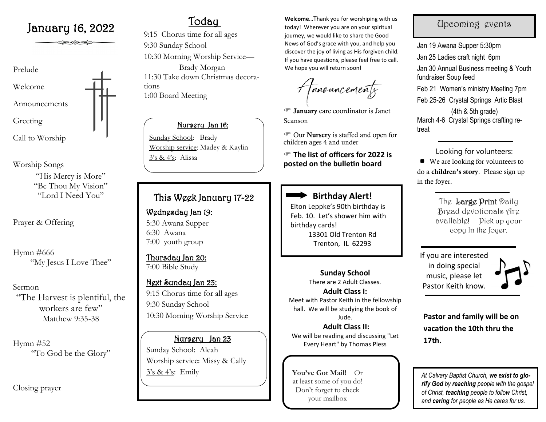# January 16, 2022 Today

ು≥∞∞≥

Prelude Welcome Announcements Greeting Call to Worship

Worship Songs "His Mercy is More" "Be Thou My Vision" "Lord I Need You"

Prayer & Offering

Hymn #666 "My Jesus I Love Thee"

Sermon "The Harvest is plentiful, the workers are few" Matthew 9:35-38

Hymn #52 "To God be the Glory"

Closing prayer

9:15 Chorus time for all ages 9:30 Sunday School 10:30 Morning Worship Service— Brady Morgan 11:30 Take down Christmas decorations 1:00 Board Meeting

## Nursery Jan 16:

Sunday School: Brady Worship service: Madey & Kaylin 3's & 4's: Alissa

# This Week January 17-22

Wednesday Jan 19: 5:30 Awana Supper 6:30 Awana 7:00 youth group

Thursday Jan 20: 7:00 Bible Study

# Next Sunday Jan 23: 9:15 Chorus time for all ages 9:30 Sunday School 10:30 Morning Worship Service

Nursery Jan 23 Sunday School: Aleah Worship service: Missy & Cally  $3's & 4's$ : Emily

**Welcome**…Thank you for worshiping with us today! Wherever you are on your spiritual journey, we would like to share the Good News of God's grace with you, and help you discover the joy of living as His forgiven child. If you have questions, please feel free to call. We hope you will return soon!

Amouncements

 January care coordinator is Janet Scanson

 Our Nursery is staffed and open for children ages 4 and under

 **The list of officers for 2022 is posted on the bulletin board**



Elton Leppke's 90th birthday is Feb. 10. Let's shower him with birthday cards! 13301 Old Trenton Rd Trenton, IL 62293

> **Sunday School**  There are 2 Adult Classes. **Adult Class I:**

Meet with Pastor Keith in the fellowship hall. We will be studying the book of Jude.

**Adult Class II:** We will be reading and discussing "Let Every Heart" by Thomas Pless

**You've Got Mail!** Or at least some of you do! Don't forget to check your mailbox

# Upcoming events

Jan 19 Awana Supper 5:30pm Jan 25 Ladies craft night 6pm Jan 30 Annual Business meeting & Youth fundraiser Soup feed Feb 21 Women's ministry Meeting 7pm Feb 25-26 Crystal Springs Artic Blast (4th & 5th grade) March 4-6 Crystal Springs crafting retreat

 Looking for volunteers: ■ We are looking for volunteers to do a children's story. Please sign up in the foyer.

> The Large Print Daily Bread devotionals Are available! Pick up your copy In the foyer.

If you are interested in doing special music, please let Pastor Keith know.



**Pastor and family will be on vacation the 10th thru the 17th.**

*At Calvary Baptist Church, we exist to glorify God by reaching people with the gospel of Christ, teaching people to follow Christ, and caring for people as He cares for us.*